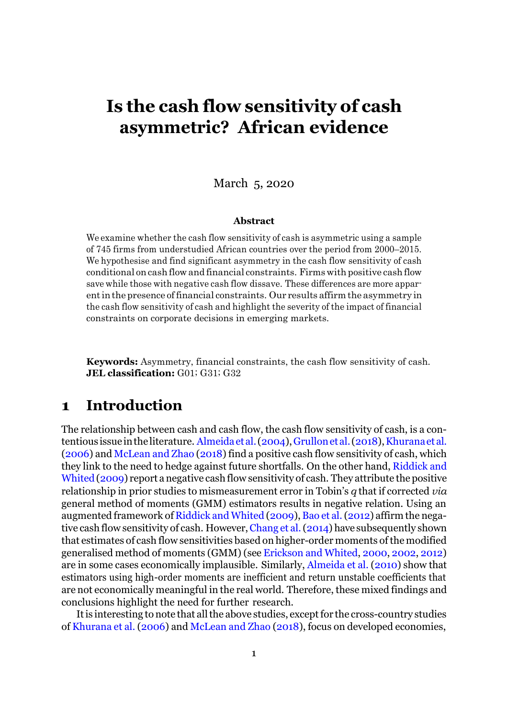# **Is the cash flow sensitivity of cash asymmetric? African evidence**

### March 5, 2020

#### **Abstract**

We examine whether the cash flow sensitivity of cash is asymmetric using a sample of 745 firms from understudied African countries over the period from 2000–2015. We hypothesise and find significant asymmetry in the cash flow sensitivity of cash conditional oncash flowand financial constraints. Firmswith positive cashflow save while those with negative cash flow dissave. These differences are more apparentinthe presence offinancial constraints. Our results affirm the asymmetry in the cash flow sensitivity of cash and highlight the severity of the impact of financial constraints on corporate decisions in emerging markets.

**Keywords:** Asymmetry, financial constraints, the cash flow sensitivity of cash. **JEL classification:** G01; G31; G32

## **1 Introduction**

The relationship between cash and cash flow, the cash flow sensitivity of cash, is a con-tentious issue in the literature. [Almeida](#page-5-0) et al. [\(2004\)](#page-5-0), Grullon et al. (2018), Khurana et al.  $(2006)$  and [McLean](#page-7-0) and Zhao  $(2018)$  find a positive cash flow sensitivity of cash, which they link to the need to hedge against future shortfalls. On the other hand, [Riddick](#page-7-1) and [Whited](#page-7-1) [\(2009\)](#page-7-1) report anegative cash flow sensitivity of cash. They attribute the positive relationship in prior studies to mismeasurement error in Tobin's *q* that if corrected *via*  general method of moments (GMM) estimators results in negative relation. Using an augmented framework of [Riddick](#page-7-1) and Whited [\(2009\)](#page-7-1), Bao et al. [\(2012\)](#page-5-1) affirm the nega-tive cash flow sensitivity of cash. However, Chang et al. [\(2014\)](#page-6-2) have subsequently shown that estimates of cash flow sensitivities based on higher-order moments of the modified generalised method of moments (GMM) (see [Erickson](#page-6-3) and Whited, [2000,](#page-6-3) [2002,](#page-6-4) [2012\)](#page-6-5) are in some cases economically implausible. Similarly, [Almeida](#page-5-2) et al. [\(2010\)](#page-5-2) show that estimators using high-order moments are inefficient and return unstable coefficients that are not economically meaningful in the real world. Therefore, these mixed findings and conclusions highlight the need for further research.

It is interesting to note that all the above studies, except for the cross-country studies of [Khurana](#page-6-1) et al. [\(2006\)](#page-6-1) and [McLean](#page-7-0) and Zhao [\(2018\)](#page-7-0), focus on developed economies,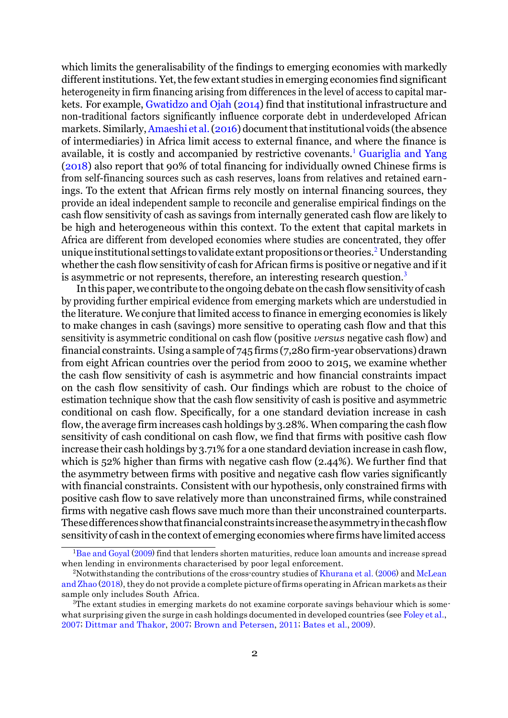which limits the generalisability of the findings to emerging economies with markedly different institutions. Yet, the few extant studies in emerging economies find significant heterogeneity in firm financing arising from differences in the level of access to capital markets. For example, [Gwatidzo](#page-6-6) and Ojah [\(2014\)](#page-6-6) find that institutional infrastructure and non-traditional factors significantly influence corporate debt in underdeveloped African markets. Similarly, Amaeshi et al. [\(2016\)](#page-5-3) document that institutional voids (the absence of intermediaries) in Africa limit access to external finance, and where the finance is available, it is costly and accompanied by restrictive covenants.<sup>[1](#page-1-0)</sup> [Guariglia and Yang](#page-6-7) [\(2018\)](#page-6-7) also report that 90% of total financing for individually owned Chinese firms is from self-financing sources such as cash reserves, loans from relatives and retained earnings. To the extent that African firms rely mostly on internal financing sources, they provide an ideal independent sample to reconcile and generalise empirical findings on the cash flow sensitivity of cash as savings from internally generated cash flow are likely to be high and heterogeneous within this context. To the extent that capital markets in Africa are different from developed economies where studies are concentrated, they offer unique institutional settings to validate extant propositions or theorie[s.](#page-1-1)<sup>2</sup> Understanding whether the cash flow sensitivity of cash for African firms is positive or negative and if it is asymmetric or not represents, therefore, an interesting research question.<sup>[3](#page-1-2)</sup>

In this paper, we contribute to the ongoing debate on the cash flow sensitivity of cash by providing further empirical evidence from emerging markets which are understudied in the literature. We conjure that limited access to finance in emerging economies is likely to make changes in cash (savings) more sensitive to operating cash flow and that this sensitivity is asymmetric conditional on cash flow (positive *versus* negative cash flow) and financial constraints. Using a sample of  $745$  firms (7,280 firm-year observations) drawn from eight African countries over the period from 2000 to 2015, we examine whether the cash flow sensitivity of cash is asymmetric and how financial constraints impact on the cash flow sensitivity of cash. Our findings which are robust to the choice of estimation technique show that the cash flow sensitivity of cash is positive and asymmetric conditional on cash flow. Specifically, for a one standard deviation increase in cash flow, the average firm increases cash holdings by 3.28%. When comparing the cash flow sensitivity of cash conditional on cash flow, we find that firms with positive cash flow increase their cash holdings by 3.71% for a one standard deviation increase in cash flow, which is 52% higher than firms with negative cash flow (2.44%). We further find that the asymmetry between firms with positive and negative cash flow varies significantly with financial constraints. Consistent with our hypothesis, only constrained firms with positive cash flow to save relatively more than unconstrained firms, while constrained firms with negative cash flows save much more than their unconstrained counterparts. Thesedifferences showthatfinancialconstraintsincreasetheasymmetryinthecashflow sensitivity of cash in the context of emerging economies where firms have limited access

<span id="page-1-1"></span><span id="page-1-0"></span><sup>1</sup>Bae and [Goyal](#page-5-4) [\(2009\)](#page-5-4) find that lenders shorten maturities, reduce loan amounts and increase spread when lending in environments characterised by poor legal enforcement.

<span id="page-1-2"></span><sup>&</sup>lt;sup>2</sup>Notwithstanding the contributions of the cross-country studies of [Khurana](#page-6-1) et al. [\(2006\)](#page-6-1) and [McLean](#page-7-0) and  $\text{Zhao}$  $\text{Zhao}$  $\text{Zhao}$  [\(2018\)](#page-7-0), they do not provide a complete picture of firms operating in African markets as their sample only includes South Africa.

<sup>3</sup>The extant studies in emerging markets do not examine corporate savings behaviour which is some-what surprising given the surge in cash holdings documented in developed countries (see [Foley](#page-6-8) et al., [2007;](#page-6-8) [Dittmar and Thakor, 2007;](#page-6-9) [Brown and Petersen, 2011;](#page-6-10) [Bates et al.,](#page-5-5) [2009\)](#page-5-5).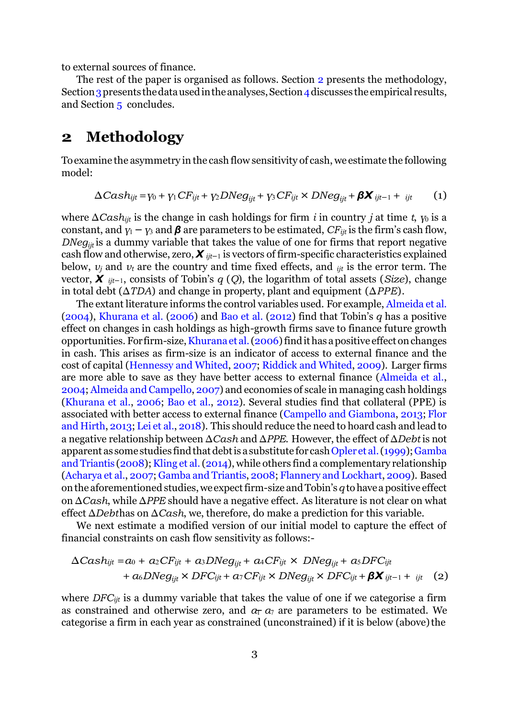<span id="page-2-3"></span>to external sources of finance.

The rest of the paper is organised as follows. Section [2](#page-2-0) presents the methodology, Section 3 presents the data used in the analyses, Section 4 discusses the empirical results, and Section [5](#page-5-6) concludes.

## <span id="page-2-0"></span>**2 Methodology**

Toexamine the asymmetry in the cash flow sensitivity of cash, we estimate the following model:

<span id="page-2-1"></span>
$$
\Delta Cash_{ijt} = v_0 + v_1 CF_{ijt} + v_2 DNeg_{ijt} + v_3 CF_{ijt} \times DNeg_{ijt} + \beta X_{ijt-1} + i_{ijt}
$$
 (1)

where ∆*Cashijt* is the change in cash holdings for firm *i* in country *j* at time *t*, *γ*<sup>0</sup> is a constant, and  $\gamma_1 - \gamma_3$  and  $\beta$  are parameters to be estimated, *CF*<sub>*ijt*</sub> is the firm's cash flow, *DNeg<sub>iit</sub>* is a dummy variable that takes the value of one for firms that report negative cash flow and otherwise, zero, *X ijt−*<sup>1</sup> is vectors of firm-specific characteristics explained below, *ν<sup>j</sup>* and *ν<sup>t</sup>* are the country and time fixed effects, and *ijt* is the error term. The vector, *X ijt−*1, consists of Tobin's *q* (*Q*), the logarithm of total assets (*Size*), change in total debt (∆*TDA*) and change in property, plant and equipment (∆*PPE*).

<span id="page-2-4"></span>The extant literature informs the control variables used. For example, [Almeida](#page-5-0) et al. [\(2004\)](#page-5-0), [Khurana et al.](#page-6-1) [\(2006\)](#page-6-1) and Bao [et al.](#page-5-1) [\(2012\)](#page-5-1) find that Tobin's *q* has a positive effect on changes in cash holdings as high-growth firms save to finance future growth opportunities. For firm-size, Khurana et al. [\(2006\)](#page-6-1) find it has a positive effect on changes in cash. This arises as firm-size is an indicator of access to external finance and the cost of capital [\(Hennessy](#page-6-11) and Whited, [2007;](#page-6-11) [Riddick](#page-7-1) and Whited, [2009\)](#page-7-1). Larger firms are more able to save as they have better access to external finance [\(Almeida et al.,](#page-5-0) [2004;](#page-5-0) Almeida and [Campello,](#page-5-7) [2007\)](#page-5-7) and economies of scale in managing cash holdings [\(Khurana et al., 2006;](#page-6-1) [Bao et al., 2012\)](#page-5-1). Several studies find that collateral (PPE) is associated with better access to external finance [\(Campello and Giambona, 2013;](#page-6-12) [Flor](#page-6-13) and [Hirth,](#page-6-13) [2013;](#page-6-13) [Lei](#page-7-2) et al., [2018\)](#page-7-2). This should reduce the need to hoard cash and lead to a negative relationship between ∆*Cash* and ∆*PPE*. However, the effect of ∆*Debt* is not apparent as some studies find that debt is a substitute for cash Opler et al. [\(1999\)](#page-7-3); Gamba and [Triantis](#page-6-14) [\(2008\)](#page-6-14); Kling et al. [\(2014\)](#page-7-4), while others find a complementary relationship [\(Acharya](#page-5-8) et al., [2007;](#page-5-8) Gamba and [Triantis,](#page-6-14) [2008;](#page-6-14) Flannery and [Lockhart,](#page-6-15) [2009\)](#page-6-15). Based onthe aforementioned studies,weexpectfirm-size andTobin's*q* tohavea positive effect on ∆*Cash*, while ∆*PPE* should have a negative effect. As literature is not clear on what effect ∆*Debt*has on ∆*Cash*, we, therefore, do make a prediction for this variable.

We next estimate a modified version of our initial model to capture the effect of financial constraints on cash flow sensitivity as follows:-

<span id="page-2-2"></span>
$$
\Delta Cash_{ijt} = a_0 + a_2 CF_{ijt} + a_3 DNeg_{ijt} + a_4 CF_{ijt} \times DNeg_{ijt} + a_5 DFC_{ijt} + a_6 DNeg_{ijt} \times DFC_{ijt} + a_7 CF_{ijt} \times DNeg_{ijt} \times DFC_{ijt} + \beta \mathbf{X}_{ijt-1} + i_{jt} \quad (2)
$$

*−* as constrained and otherwise zero, and *α*<sup>1</sup> *α*<sup>7</sup> are parameters to be estimated. We where *DFCijt* is a dummy variable that takes the value of one if we categorise a firm categorise a firm in each year as constrained (unconstrained) if it is below (above)the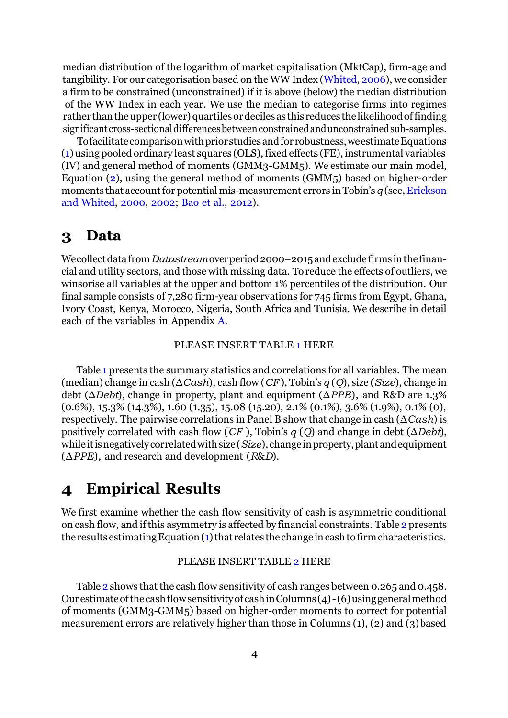median distribution of the logarithm of market capitalisation (MktCap), firm-age and tangibility. For our categorisation based on the WW Index [\(Whited,](#page-7-5) [2006\)](#page-7-5), we consider a firm to be constrained (unconstrained) if it is above (below) the median distribution of the WW Index in each year. We use the median to categorise firms into regimes rather than the upper (lower) quartiles or deciles as this reduces the likelihood of finding significant cross-sectional differences between constrained and unconstrained sub-samples.

Tofacilitate comparison with prior studies and for robustness, we estimate Equations [\(1\)](#page-2-1) using pooled ordinary least squares (OLS), fixed effects (FE), instrumental variables (IV) and general method of moments (GMM3-GMM5). We estimate our main model, Equation [\(2\)](#page-2-2), using the general method of moments (GMM5) based on higher-order moments that account for potential mis-measurement errors in Tobin's  $q$  (see, Erickson and [Whited,](#page-6-3) [2000,](#page-6-3) [2002;](#page-6-4) [Bao](#page-5-1) et al., [2012\)](#page-5-1).

## <span id="page-3-0"></span>**3 Data**

Wecollect data from *Datastream* over period 2000–2015 and exclude firms in the financial and utility sectors, and those with missing data. To reduce the effects of outliers, we winsorise all variables at the upper and bottom 1% percentiles of the distribution. Our final sample consists of 7,280 firm-year observations for 745 firms from Egypt, Ghana, Ivory Coast, Kenya, Morocco, Nigeria, South Africa and Tunisia. We describe in detail each of the variables in Appendix [A.](#page-11-0)

#### PLEASE INSERT TABLE [1 H](#page-8-0)ERE

Table [1](#page-8-0) presents the summary statistics and correlations for all variables. The mean (median) change in cash (∆*Cash*), cash flow (*CF* ), Tobin's *q* (*Q*), size (*Size*), change in debt (∆*Debt*), change in property, plant and equipment (∆*PPE*), and R&D are 1.3% (0.6%), 15.3% (14.3%), 1.60 (1.35), 15.08 (15.20), 2.1% (0.1%), 3.6% (1.9%), 0.1% (0), respectively. The pairwise correlations in Panel B show that change in cash (∆*Cash*) is positively correlated with cash flow (*CF* ), Tobin's *q* (*Q*) and change in debt (∆*Debt*), whileitisnegativelycorrelatedwithsize(*Size*), changeinproperty,plant andequipment (∆*PPE*), and research and development (*R*&*D*).

## <span id="page-3-1"></span>**4 Empirical Results**

We first examine whether the cash flow sensitivity of cash is asymmetric conditional on cash flow, and if this asymmetry is affected by financial constraints. Table [2](#page-9-0) presents the results estimating Equation  $(1)$  that relates the change in cash to firm characteristics.

#### PLEASE INSERT TABLE [2 H](#page-9-0)ERE

Table [2](#page-9-0) shows that the cash flow sensitivity of cash ranges between 0.265 and 0.458. Our estimate of the cash flow sensitivity of cash in Columns  $(4)$ - $(6)$  using general method of moments (GMM3-GMM5) based on higher-order moments to correct for potential measurement errors are relatively higher than those in Columns (1), (2) and (3)based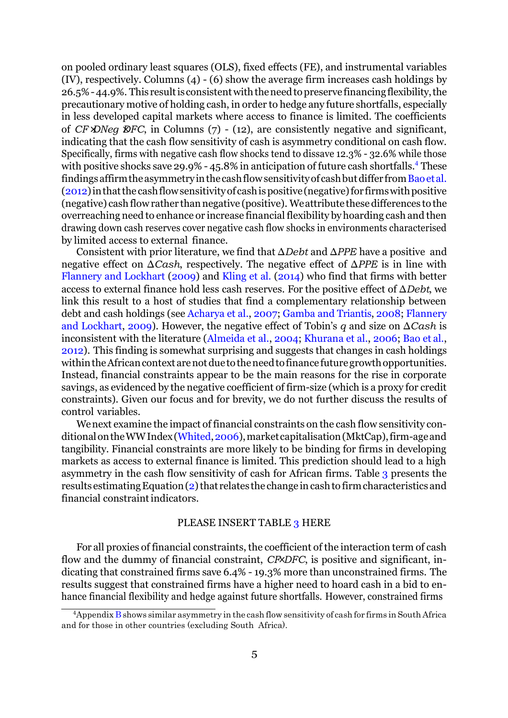*× ×* of *CF DNeg DFC*, in Columns (7) - (12), are consistently negative and significant, on pooled ordinary least squares (OLS), fixed effects (FE), and instrumental variables (IV), respectively. Columns (4) - (6) show the average firm increases cash holdings by 26.5%-44.9%. This resultis consistentwiththeneedtopreserve financingflexibility,the precautionary motive of holding cash, in order to hedge any future shortfalls, especially in less developed capital markets where access to finance is limited. The coefficients indicating that the cash flow sensitivity of cash is asymmetry conditional on cash flow. Specifically, firms with negative cash flow shocks tend to dissave 12.3% - 32.6% while those with positive shocks save 29.9% - 45.8% in anticipation of future cash shortfall[s.](#page-4-0)<sup>4</sup> These findings affirm the asymmetry in the cash flow sensitivity of cash but differ from Bao et al.  $(2012)$  in that the cash flow sensitivity of cash is positive (negative) for firms with positive (negative) cash flow rather than negative (positive). We attribute these differences to the overreaching need to enhance or increase financial flexibility byhoarding cash and then drawing down cash reserves cover negative cash flow shocks in environments characterised by limited access to external finance.

Consistent with prior literature, we find that ∆*Debt* and ∆*PPE* have a positive and negative effect on ∆*Cash*, respectively. The negative effect of ∆*PPE* is in line with [Flannery and Lockhart](#page-6-15) [\(2009\)](#page-6-15) and [Kling et al.](#page-7-4) [\(2014\)](#page-7-4) who find that firms with better access to external finance hold less cash reserves. For the positive effect of ∆*Debt*, we link this result to a host of studies that find a complementary relationship between debt and cash holdings (see [Acharya](#page-5-8) et al., [2007;](#page-5-8) Gamba and [Triantis, 2008;](#page-6-14) [Flannery](#page-6-15) [and Lockhart, 2009\)](#page-6-15). However, the negative effect of Tobin's *q* and size on ∆*Cash* is inconsistent with the literature [\(Almeida et al., 2004;](#page-5-0) [Khurana et al., 2006;](#page-6-1) [Bao et](#page-5-1) al., [2012\)](#page-5-1). This finding is somewhat surprising and suggests that changes in cash holdings within the African context are not due to the need to finance future growth opportunities. Instead, financial constraints appear to be the main reasons for the rise in corporate savings, as evidenced by the negative coefficient of firm-size (which is a proxy for credit constraints). Given our focus and for brevity, we do not further discuss the results of control variables.

Wenext examine the impact of financial constraints on the cash flow sensitivity conditional on the WW Index (Whited, 2006), market capitalisation (MktCap), firm-age and tangibility. Financial constraints are more likely to be binding for firms in developing markets as access to external finance is limited. This prediction should lead to a high asymmetry in the cash flow sensitivity of cash for African firms. Table [3](#page-10-0) presents the results estimating Equation  $(2)$  that relates the change in cash to firm characteristics and financial constraint indicators.

#### PLEASE INSERT TABLE [3 H](#page-10-0)ERE

flow and the dummy of financial constraint, *CF×DFC*, is positive and significant, in-For all proxies of financial constraints, the coefficient of the interaction term of cash dicating that constrained firms save 6.4% - 19.3% more than unconstrained firms. The results suggest that constrained firms have a higher need to hoard cash in a bid to enhance financial flexibility and hedge against future shortfalls. However, constrained firms

<span id="page-4-0"></span> $4A$ ppendix  $\overline{B}$  $\overline{B}$  $\overline{B}$  shows similar asymmetry in the cash flow sensitivity of cash for firms in South Africa and for those in other countries (excluding South Africa).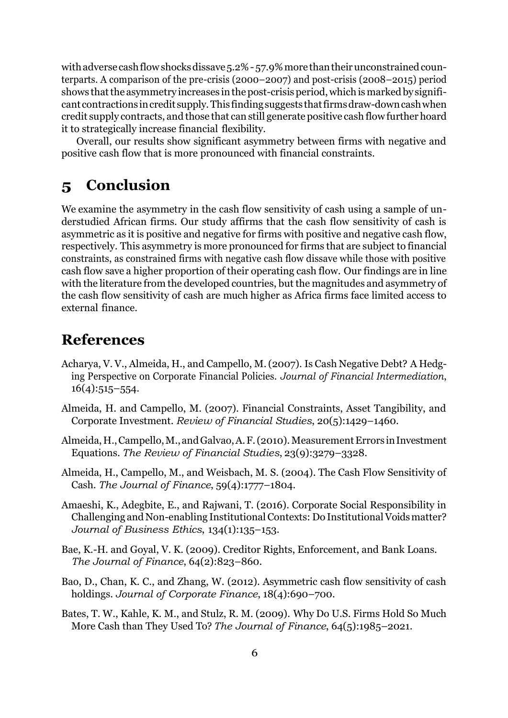with adverse cash flow shocks dissave 5.2% - 57.9% more than their unconstrained counterparts. A comparison of the pre-crisis (2000–2007) and post-crisis (2008–2015) period shows that the asymmetry increases in the post-crisis period, which is marked by significant contractions incredit supply.Thisfindingsuggests thatfirmsdraw-downcashwhen credit supply contracts, and those that can still generate positive cash flow further hoard it to strategically increase financial flexibility.

Overall, our results show significant asymmetry between firms with negative and positive cash flow that is more pronounced with financial constraints.

## <span id="page-5-6"></span>**5 Conclusion**

We examine the asymmetry in the cash flow sensitivity of cash using a sample of understudied African firms. Our study affirms that the cash flow sensitivity of cash is asymmetric as it is positive and negative for firms with positive and negative cash flow, respectively. This asymmetry is more pronounced for firms that are subject to financial constraints, as constrained firms with negative cash flow dissave while those with positive cash flow save a higher proportion of their operating cash flow. Our findings are in line with the literature from the developed countries, but the magnitudes and asymmetry of the cash flow sensitivity of cash are much higher as Africa firms face limited access to external finance.

## **References**

- <span id="page-5-8"></span>Acharya, V. V., Almeida, H., and Campello, M.(2007). Is Cash Negative Debt? A Hedging Perspective on Corporate Financial Policies. *Journal of Financial Intermediation*,  $16(4):515-554.$
- <span id="page-5-7"></span>Almeida, H. and Campello, M. (2007). Financial Constraints, Asset Tangibility, and Corporate Investment. *Review of Financial Studies*, 20(5):1429–1460.
- <span id="page-5-2"></span>Almeida, H., Campello, M., and Galvao, A. F. (2010). Measurement Errors in Investment Equations. *The Review of Financial Studies*, 23(9):3279–3328.
- <span id="page-5-0"></span>Almeida, H., Campello, M., and Weisbach, M. S. (2004). The Cash Flow Sensitivity of Cash. *The Journal of Finance*, 59(4):1777–1804.
- <span id="page-5-3"></span>Amaeshi, K., Adegbite, E., and Rajwani, T. (2016). Corporate Social Responsibility in Challenging and Non-enabling Institutional Contexts: Do Institutional Voids matter? *Journal of Business Ethics*, 134(1):135–153.
- <span id="page-5-4"></span>Bae, K.-H. and Goyal, V. K. (2009). Creditor Rights, Enforcement, and Bank Loans. *The Journal of Finance*, 64(2):823–860.
- <span id="page-5-1"></span>Bao, D., Chan, K. C., and Zhang, W. (2012). Asymmetric cash flow sensitivity of cash holdings. *Journal of Corporate Finance*, 18(4):690–700.
- <span id="page-5-5"></span>Bates, T. W., Kahle, K. M., and Stulz, R. M. (2009). Why Do U.S. Firms Hold So Much More Cash than They Used To? *The Journal of Finance*, 64(5):1985–2021.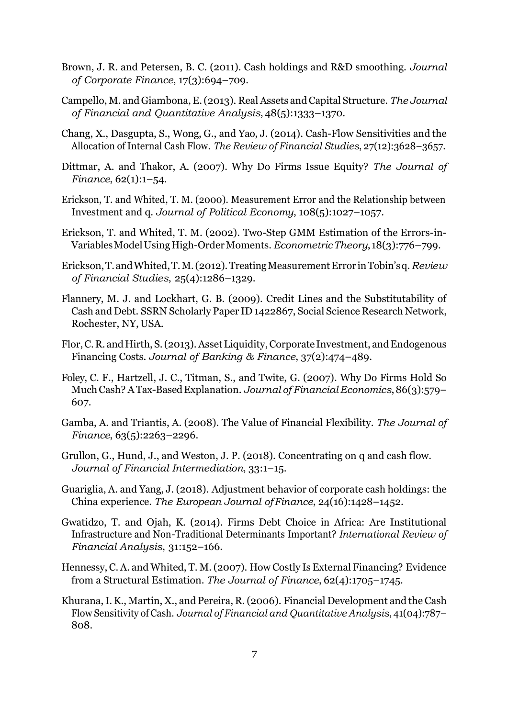- <span id="page-6-10"></span>Brown, J. R. and Petersen, B. C. (2011). Cash holdings and R&D smoothing. *Journal of Corporate Finance*, 17(3):694–709.
- <span id="page-6-12"></span>Campello, M. and Giambona, E.(2013). RealAssets andCapital Structure. *The Journal of Financial and Quantitative Analysis*, 48(5):1333–1370.
- <span id="page-6-2"></span>Chang, X., Dasgupta, S., Wong, G., and Yao, J. (2014). Cash-Flow Sensitivities and the Allocation of Internal Cash Flow. *The Review of Financial Studies*, 27(12):3628–3657.
- <span id="page-6-9"></span>Dittmar, A. and Thakor, A. (2007). Why Do Firms Issue Equity? *The Journal of Finance*, 62(1):1–54.
- <span id="page-6-3"></span>Erickson, T. and Whited, T. M. (2000). Measurement Error and the Relationship between Investment and q. *Journal of Political Economy*, 108(5):1027–1057.
- <span id="page-6-4"></span>Erickson, T. and Whited, T. M. (2002). Two-Step GMM Estimation of the Errors-in-VariablesModelUsingHigh-OrderMoments. *EconometricTheory*, 18(3):776–799.
- <span id="page-6-5"></span>Erickson,T.andWhited,T.M.(2012).TreatingMeasurementError inTobin'sq.*Review of Financial Studies*, 25(4):1286–1329.
- <span id="page-6-15"></span>Flannery, M. J. and Lockhart, G. B. (2009). Credit Lines and the Substitutability of Cash and Debt. SSRN Scholarly Paper ID 1422867, Social Science Research Network, Rochester, NY, USA.
- <span id="page-6-13"></span>Flor, C.R. and Hirth, S. (2013). Asset Liquidity, Corporate Investment, and Endogenous Financing Costs. *Journal of Banking & Finance*, 37(2):474–489.
- <span id="page-6-8"></span>Foley, C. F., Hartzell, J. C., Titman, S., and Twite, G. (2007). Why Do Firms Hold So MuchCash? ATax-BasedExplanation. *Journal of FinancialEconomics*,86(3):579– 607.
- <span id="page-6-14"></span>Gamba, A. and Triantis, A. (2008). The Value of Financial Flexibility. *The Journal of Finance*, 63(5):2263–2296.
- <span id="page-6-0"></span>Grullon, G., Hund, J., and Weston, J. P. (2018). Concentrating on q and cash flow. *Journal of Financial Intermediation*, 33:1–15.
- <span id="page-6-7"></span>Guariglia, A. and Yang, J. (2018). Adjustment behavior of corporate cash holdings: the China experience. *The European Journal ofFinance*, 24(16):1428–1452.
- <span id="page-6-6"></span>Gwatidzo, T. and Ojah, K. (2014). Firms Debt Choice in Africa: Are Institutional Infrastructure and Non-Traditional Determinants Important? *International Review of Financial Analysis*, 31:152–166.
- <span id="page-6-11"></span>Hennessy, C. A. and Whited, T. M.(2007). How Costly Is External Financing? Evidence from a Structural Estimation. *The Journal of Finance*, 62(4):1705–1745.
- <span id="page-6-1"></span>Khurana,I. K., Martin, X., and Pereira, R.(2006). Financial Development and the Cash Flow Sensitivity of Cash. *Journal of Financial and Quantitative Analysis*, 41(04):787– 808.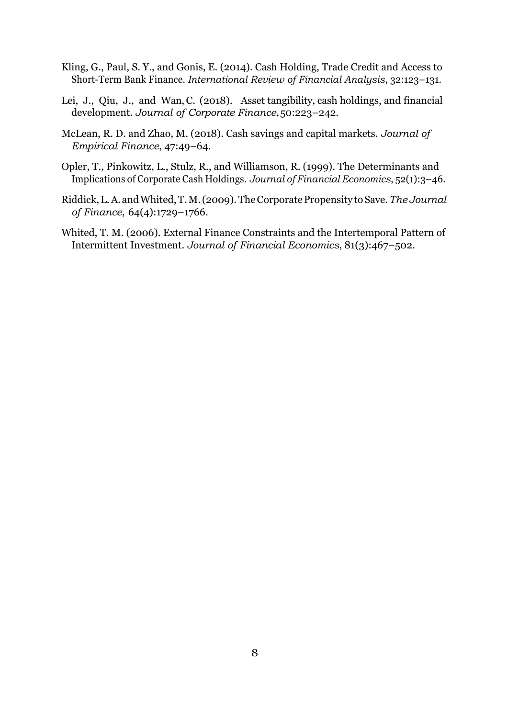- <span id="page-7-4"></span>Kling, G., Paul, S. Y., and Gonis, E. (2014). Cash Holding, Trade Credit and Access to Short-Term Bank Finance. *International Review of Financial Analysis*, 32:123–131.
- <span id="page-7-2"></span>Lei, J., Qiu, J., and Wan, C. (2018). Asset tangibility, cash holdings, and financial development. *Journal of Corporate Finance*,50:223–242.
- <span id="page-7-0"></span>McLean, R. D. and Zhao, M. (2018). Cash savings and capital markets. *Journal of Empirical Finance*, 47:49–64.
- <span id="page-7-3"></span>Opler, T., Pinkowitz, L., Stulz, R., and Williamson, R. (1999). The Determinants and Implications of Corporate Cash Holdings. *Journal of Financial Economics*, 52(1):3–46.
- <span id="page-7-1"></span>Riddick,L.A. andWhited,T.M.(2009). TheCorporatePropensity to Save. *The Journal of Finance*, 64(4):1729–1766.
- <span id="page-7-5"></span>Whited, T. M. (2006). External Finance Constraints and the Intertemporal Pattern of Intermittent Investment. *Journal of Financial Economics*, 81(3):467–502.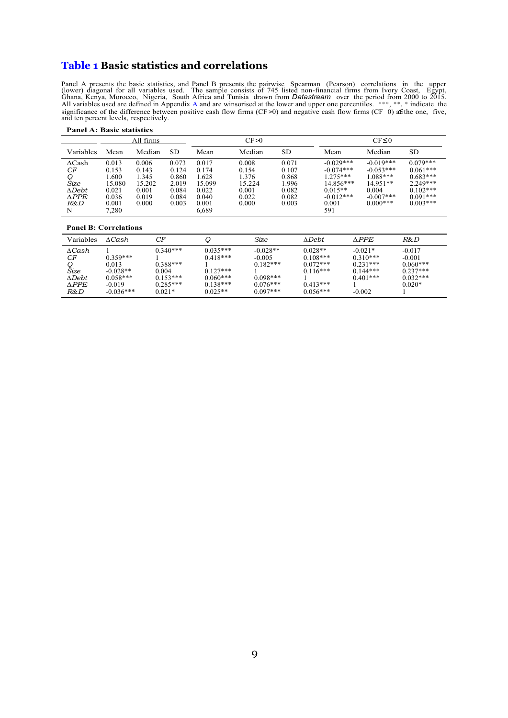### <span id="page-8-0"></span>**Table 1 Basic statistics and correlations**

*≤* Panel A presents the basic statistics, and Panel B presents the pairwise Spearman (Pearson) correlations in the upper (lower) diagonal for all variables used. The sample consists of 745 listed non-financial firms from Ivor All variables used are defined in Appendi[x A a](#page-11-0)nd are winsorised at the lower and upper one percentiles. \*\*\*, \*\*, \* indicate the significance of the difference between positive cash flow firms (CF >0) and negative cash flow firms (CF 0) a**≤**the one, five, and ten percent levels, respectively.

| 1 ansl III Dagis Guadegus                                   |                                                     |                                                     |                                                    |                                                     |                                                     |                                                    |                                                                                     |                                                                               |                                                                                  |  |  |
|-------------------------------------------------------------|-----------------------------------------------------|-----------------------------------------------------|----------------------------------------------------|-----------------------------------------------------|-----------------------------------------------------|----------------------------------------------------|-------------------------------------------------------------------------------------|-------------------------------------------------------------------------------|----------------------------------------------------------------------------------|--|--|
|                                                             |                                                     | All firms                                           |                                                    |                                                     | CF>0                                                |                                                    |                                                                                     | $CF \leq 0$                                                                   |                                                                                  |  |  |
| Variables                                                   | Mean                                                | Median                                              | SD.                                                | Mean                                                | Median                                              | SD                                                 | Mean                                                                                | Median                                                                        | <b>SD</b>                                                                        |  |  |
| $\Delta$ Cash<br>СF<br>Šize<br>$\Delta Debt$<br><b>APPE</b> | 0.013<br>0.153<br>1.600<br>15.080<br>0.021<br>0.036 | 0.006<br>0.143<br>1.345<br>15.202<br>0.001<br>0.019 | 0.073<br>0.124<br>0.860<br>2.019<br>0.084<br>0.084 | 0.017<br>0.174<br>1.628<br>15.099<br>0.022<br>0.040 | 0.008<br>0.154<br>1.376<br>15.224<br>0.001<br>0.022 | 0.071<br>0.107<br>0.868<br>1.996<br>0.082<br>0.082 | $-0.029***$<br>$-0.074***$<br>$1.275***$<br>$14.856***$<br>$0.015**$<br>$-0.012***$ | $-0.019***$<br>$-0.053***$<br>1.088***<br>$14.951**$<br>0.004<br>$-0.007$ *** | $0.079***$<br>$0.061***$<br>$0.683***$<br>$2.249***$<br>$0.102***$<br>$0.091***$ |  |  |
| R&D<br>N                                                    | 0.001<br>7.280                                      | 0.000                                               | 0.003                                              | 0.001<br>6.689                                      | 0.000                                               | 0.003                                              | 0.001<br>591                                                                        | $0.000$ ***                                                                   | $0.003***$                                                                       |  |  |

#### **Panel A: Basic statistics**

#### **Panel B: Correlations**

| Variables       | $\Lambda$ Cash | СF         |            | Size       | $\Lambda$ Debt. | <b>APPE</b> | R&D        |
|-----------------|----------------|------------|------------|------------|-----------------|-------------|------------|
| ACash           | $0.359***$     | $0.340***$ | $0.035***$ | $-0.028**$ | $0.028**$       | $-0.021*$   | $-0.017$   |
| СF              | 0.013          | $0.388***$ | $0.418***$ | $-0.005$   | $0.108***$      | $0.310***$  | $-0.001$   |
| Size            | $-0.028**$     | 0.004      | $0.127***$ | $0.182***$ | $0.072***$      | $0.231***$  | $0.060***$ |
| $\Lambda$ Debt. | $0.058***$     | $0.153***$ | $0.060***$ | $0.098***$ | $0.116***$      | $0.144***$  | $0.237***$ |
| <b>APPE</b>     | $-0.019$       | $0.285***$ | $0.138***$ | $0.076***$ | $0.413***$      | $0.401***$  | $0.032***$ |
| R&D             | $-0.036***$    | $0.021*$   | $0.025**$  | $0.097***$ | $0.056***$      | $-0.002$    | $0.020*$   |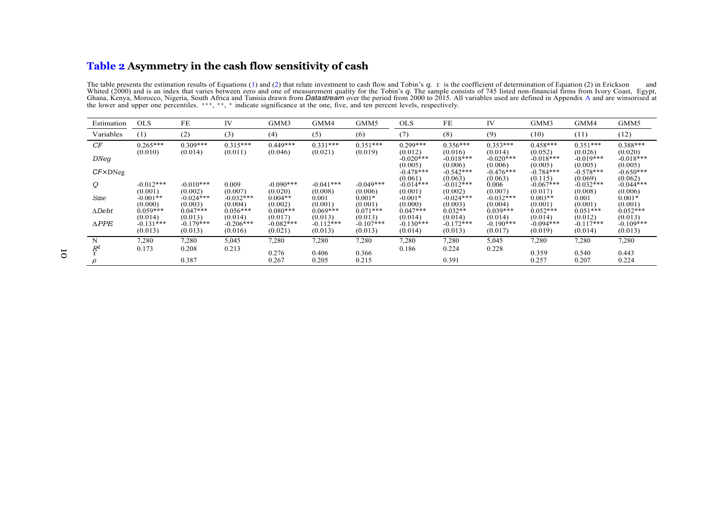### **Table 2 Asymmetry in the cash flow sensitivity of cash**

The table presents the estimation results of Equations [\(1\)](#page-2-3) and [\(2](#page-2-4)) that relate investment to cash flow and Tobin's q. t is the coefficient of determination of Equation (2) in Erickson and Whited (2000) and is an index that the lower and upper one percentiles. \*\*\*, \*\*, \* indicate significance at the one, five, and ten percent levels, respectively.

<span id="page-9-0"></span>

| Estimation       | <b>OLS</b>                        | FE                                | IV                                | GMM3                              | GMM4                              | GMM5                              | <b>OLS</b>                         | FE                                 | ĪV                                | GMM3                              | GMM4                              | GMM5                               |
|------------------|-----------------------------------|-----------------------------------|-----------------------------------|-----------------------------------|-----------------------------------|-----------------------------------|------------------------------------|------------------------------------|-----------------------------------|-----------------------------------|-----------------------------------|------------------------------------|
| Variables        | (1)                               | (2)                               | (3)                               | (4)                               | (5)                               | (6)                               | (7)                                | (8)                                | (9)                               | (10)                              | (11)                              | (12)                               |
| CF               | $0.265***$                        | $0.309***$                        | $0.315***$                        | $0.449***$                        | $0.331***$                        | $0.351***$                        | $0.299***$                         | $0.356***$                         | $0.353***$                        | $0.458***$                        | $0.351***$                        | $0.388***$                         |
| DNeg             | (0.010)                           | (0.014)                           | (0.011)                           | (0.046)                           | (0.021)                           | (0.019)                           | (0.012)<br>$-0.020$ ***<br>(0.005) | (0.016)<br>$-0.018***$<br>(0.006)  | (0.014)<br>$-0.020**$<br>(0.006)  | (0.052)<br>$-0.018***$<br>(0.005) | (0.026)<br>$-0.019***$<br>(0.005) | (0.020)<br>$-0.018***$<br>(0.005)  |
| $CF \times DNeq$ |                                   |                                   |                                   |                                   |                                   |                                   | $-0.478***$<br>(0.061)             | $-0.542***$<br>(0.063)             | $-0.476***$<br>(0.063)            | $-0.784***$<br>(0.115)            | $-0.578***$<br>(0.069)            | $-0.650***$<br>(0.062)             |
| Q                | $-0.012***$                       | $-0.010***$                       | 0.009                             | $-0.090***$                       | $-0.041***$                       | $-0.049***$                       | $-0.014***$                        | $-0.012$ ***                       | 0.006                             | $-0.067***$                       | $-0.032***$                       | $-0.044$ ***                       |
| Size             | (0.001)<br>$-0.001**$             | (0.002)<br>$-0.024***$            | (0.007)<br>$-0.032$ ***           | (0.020)<br>$0.004**$              | (0.008)<br>0.001                  | (0.006)<br>$0.001*$               | (0.001)<br>$-0.001*$               | (0.002)<br>$-0.024$ ***            | (0.007)<br>$-0.032***$            | (0.017)<br>$0.003**$              | (0.008)<br>0.001                  | (0.006)<br>$0.001*$                |
| $\Delta Debt$    | (0.000)<br>$0.059***$             | (0.003)<br>$0.047***$             | (0.004)<br>$0.056***$             | (0.002)<br>$0.080***$             | (0.001)<br>$0.069***$             | (0.001)<br>$0.071***$             | (0.000)<br>$0.047***$              | (0.003)<br>$0.032**$               | (0.004)<br>$0.039***$             | (0.001)<br>$0.052***$             | (0.001)<br>$0.051***$             | (0.001)<br>$0.052***$              |
| $\triangle PPE$  | (0.014)<br>$-0.131***$<br>(0.013) | (0.013)<br>$-0.179***$<br>(0.013) | (0.014)<br>$-0.206***$<br>(0.016) | (0.017)<br>$-0.082***$<br>(0.021) | (0.013)<br>$-0.112***$<br>(0.013) | (0.013)<br>$-0.107***$<br>(0.013) | (0.014)<br>$-0.130***$<br>(0.014)  | (0.014)<br>$-0.172$ ***<br>(0.013) | (0.014)<br>$-0.190***$<br>(0.017) | (0.014)<br>$-0.094***$<br>(0.019) | (0.012)<br>$-0.117***$<br>(0.014) | (0.013)<br>$-0.109$ ***<br>(0.013) |
| N                | 7,280                             | 7,280                             | 5,045                             | 7,280                             | 7,280                             | 7,280                             | 7,280                              | 7,280                              | 5,045                             | 7,280                             | 7,280                             | 7,280                              |
| $R^2$            | 0.173                             | 0.208<br>0.387                    | 0.213                             | 0.276<br>0.267                    | 0.406<br>0.205                    | 0.366<br>0.215                    | 0.186                              | 0.224<br>0.391                     | 0.228                             | 0.359<br>0.257                    | 0.540<br>0.207                    | 0.443<br>0.224                     |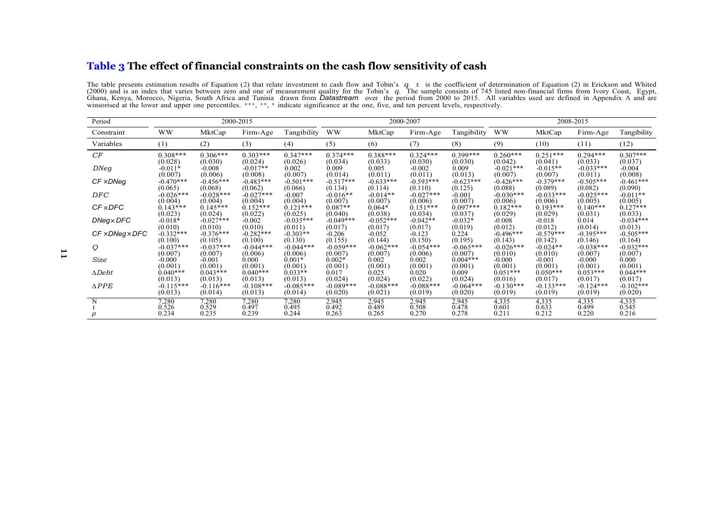#### **Table 3 The effect of financial constraints on the cash flow sensitivity of cash**

The table presents estimation results of Equation [\(2\)](#page-2-4) that relate investment to cash flow and Tobin's q. t is the coefficient of determination of Equation (2) in Erickson and Whited (2000) and is an index that varies betwe winsorised at the lower and upper one percentiles. \*\*\*, \*\*, \* indicate significance at the one, five, and ten percent levels, respectively.

<span id="page-10-0"></span>

| Period                      | 2000-2015   |             |             |             |              | 2000-2007   |             |             |             | 2008-2015   |             |             |  |
|-----------------------------|-------------|-------------|-------------|-------------|--------------|-------------|-------------|-------------|-------------|-------------|-------------|-------------|--|
| Constraint                  | <b>WW</b>   | MktCap      | Firm-Age    | Tangibility | <b>WW</b>    | MktCap      | Firm-Age    | Tangibility | <b>WW</b>   | MktCap      | Firm-Age    | Tangibility |  |
| Variables                   | (1)         | (2)         | (3)         | (4)         | (5)          | (6)         | (7)         | (8)         | (9)         | (10)        | (11)        | (12)        |  |
| CF                          | $0.308***$  | $0.306***$  | $0.303***$  | $0.347***$  | $0.374***$   | $0.388***$  | $0.324***$  | $0.399***$  | $0.260***$  | $0.251***$  | $0.294***$  | $0.307***$  |  |
| DNeg                        | (0.028)     | (0.030)     | (0.024)     | (0.026)     | (0.034)      | (0.033)     | (0.030)     | (0.030)     | (0.042)     | (0.041)     | (0.033)     | (0.037)     |  |
|                             | $-0.011*$   | $-0.008$    | $-0.017**$  | 0.002       | 0.009        | 0.005       | $-0.002$    | 0.009       | $-0.021***$ | $-0.015**$  | $-0.033***$ | $-0.004$    |  |
|                             | (0.007)     | (0.006)     | (0.008)     | (0.007)     | (0.014)      | (0.011)     | (0.011)     | (0.013)     | (0.007)     | (0.007)     | (0.011)     | (0.008)     |  |
| CF ×DNeg                    | $-0.470***$ | $-0.456***$ | $-0.483***$ | $-0.501***$ | $-0.517***$  | $-0.633***$ | $-0.593***$ | $-0.623***$ | $-0.426***$ | $-0.379***$ | $-0.505***$ | $-0.461***$ |  |
|                             | (0.065)     | (0.068)     | (0.062)     | (0.066)     | (0.134)      | (0.114)     | (0.110)     | (0.125)     | (0.088)     | (0.089)     | (0.082)     | (0.090)     |  |
| DFC                         | $-0.026***$ | $-0.028***$ | $-0.027***$ | $-0.007$    | $-0.016**$   | $-0.014**$  | $-0.027***$ | $-0.001$    | $-0.030***$ | $-0.033***$ | $-0.025***$ | $-0.011**$  |  |
|                             | (0.004)     | (0.004)     | (0.004)     | (0.004)     | (0.007)      | (0.007)     | (0.006)     | (0.007)     | (0.006)     | (0.006)     | (0.005)     | (0.005)     |  |
| <b>CF × DFC</b>             | $0.143***$  | $0.145***$  | $0.152***$  | $0.121***$  | $0.087**$    | $0.064*$    | $0.151***$  | $0.097***$  | $0.182***$  | $0.193***$  | $0.140***$  | $0.127***$  |  |
|                             | (0.023)     | (0.024)     | (0.022)     | (0.025)     | (0.040)      | (0.038)     | (0.034)     | (0.037)     | (0.029)     | (0.029)     | (0.031)     | (0.033)     |  |
| DNeg×DFC                    | $-0.018*$   | $-0.027***$ | $-0.002$    | $-0.035***$ | $-0.049$ *** | $-0.052***$ | $-0.042**$  | $-0.032*$   | $-0.008$    | $-0.018$    | 0.014       | $-0.034***$ |  |
|                             | (0.010)     | (0.010)     | (0.010)     | (0.011)     | (0.017)      | (0.017)     | (0.017)     | (0.019)     | (0.012)     | (0.012)     | (0.014)     | (0.013)     |  |
| $CF \times DNeg \times DFC$ | $-0.332***$ | $-0.376***$ | $-0.282***$ | $-0.303**$  | $-0.206$     | $-0.052$    | $-0.123$    | 0.224       | $-0.496***$ | $-0.579***$ | $-0.395***$ | $-0.505***$ |  |
|                             | (0.100)     | (0.105)     | (0.100)     | (0.130)     | (0.155)      | (0.144)     | (0.150)     | (0.195)     | (0.143)     | (0.142)     | (0.146)     | (0.164)     |  |
| Q                           | $-0.037***$ | $-0.037***$ | $-0.044***$ | $-0.044***$ | $-0.059***$  | $-0.062***$ | $-0.054***$ | $-0.065***$ | $-0.026***$ | $-0.024**$  | $-0.038***$ | $-0.032***$ |  |
| Size                        | (0.007)     | (0.007)     | (0.006)     | (0.006)     | (0.007)      | (0.007)     | (0.006)     | (0.007)     | (0.010)     | (0.010)     | (0.007)     | (0.007)     |  |
|                             | $-0.000$    | $-0.001$    | 0.000       | $0.001*$    | $0.002*$     | 0.002       | 0.002       | $0.004***$  | $-0.000$    | $-0.001$    | $-0.000$    | 0.000       |  |
| $\Delta Debt$               | (0.001)     | (0.001)     | (0.001)     | (0.001)     | (0.001)      | (0.001)     | (0.001)     | (0.001)     | (0.001)     | (0.001)     | (0.001)     | (0.001)     |  |
|                             | $0.040***$  | $0.043***$  | $0.040***$  | $0.033**$   | 0.017        | 0.025       | 0.020       | 0.009       | $0.051***$  | $0.050***$  | $0.053***$  | $0.044***$  |  |
| $\triangle PPE$             | (0.013)     | (0.013)     | (0.013)     | (0.013)     | (0.024)      | (0.024)     | (0.022)     | (0.024)     | (0.016)     | (0.017)     | (0.017)     | (0.017)     |  |
|                             | $-0.115***$ | $-0.116***$ | $-0.108***$ | $-0.085***$ | $-0.089***$  | $-0.088***$ | $-0.088***$ | $-0.064***$ | $-0.130***$ | $-0.133***$ | $-0.124***$ | $-0.102***$ |  |
|                             | (0.013)     | (0.014)     | (0.013)     | (0.014)     | (0.020)      | (0.021)     | (0.019)     | (0.020)     | (0.019)     | (0.019)     | (0.019)     | (0.020)     |  |
| N                           | 7,280       | 7,280       | 7,280       | 7,280       | 2,945        | 2,945       | 2,945       | 2,945       | 4,335       | 4,335       | 4,335       | 4,335       |  |
|                             | 0.526       | 0.529       | 0.497       | 0.495       | 0.492        | 0.489       | 0.508       | 0.478       | 0.601       | 0.633       | 0.499       | 0.545       |  |
|                             | 0.234       | 0.235       | 0.239       | 0.244       | 0.263        | 0.265       | 0.270       | 0.278       | 0.211       | 0.212       | 0.220       | 0.216       |  |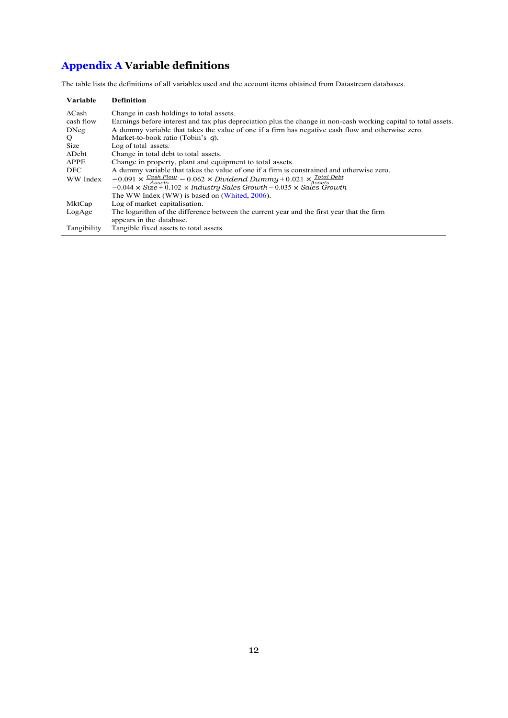## <span id="page-11-1"></span><span id="page-11-0"></span>**Appendix A Variable definitions**

The table lists the definitions of all variables used and the account items obtained from Datastream databases.

| <b>Variable</b> | <b>Definition</b>                                                                                               |
|-----------------|-----------------------------------------------------------------------------------------------------------------|
| $\Delta$ Cash   | Change in cash holdings to total assets.                                                                        |
| cash flow       | Earnings before interest and tax plus depreciation plus the change in non-cash working capital to total assets. |
| <b>DNeg</b>     | A dummy variable that takes the value of one if a firm has negative cash flow and otherwise zero.               |
| $\circ$         | Market-to-book ratio (Tobin's $q$ ).                                                                            |
| Size            | Log of total assets.                                                                                            |
| $\Delta$ Debt   | Change in total debt to total assets.                                                                           |
| $\triangle$ PPE | Change in property, plant and equipment to total assets.                                                        |
| <b>DFC</b>      | A dummy variable that takes the value of one if a firm is constrained and otherwise zero.                       |
| WW Index        | $-0.091 \times \frac{Cash Flow}{Assets} - 0.062 \times Dividend Dummy + 0.021 \times \frac{Total Debt}{Assets}$ |
|                 | $-0.044 \times \text{Size} + 0.102 \times \text{Industry Sales Growth} - 0.035 \times \text{Sales Growth}$      |
|                 | The WW Index (WW) is based on (Whited, 2006).                                                                   |
| MktCap          | Log of market capitalisation.                                                                                   |
| LogAge          | The logarithm of the difference between the current year and the first year that the firm                       |
|                 | appears in the database.                                                                                        |
| Tangibility     | Tangible fixed assets to total assets.                                                                          |